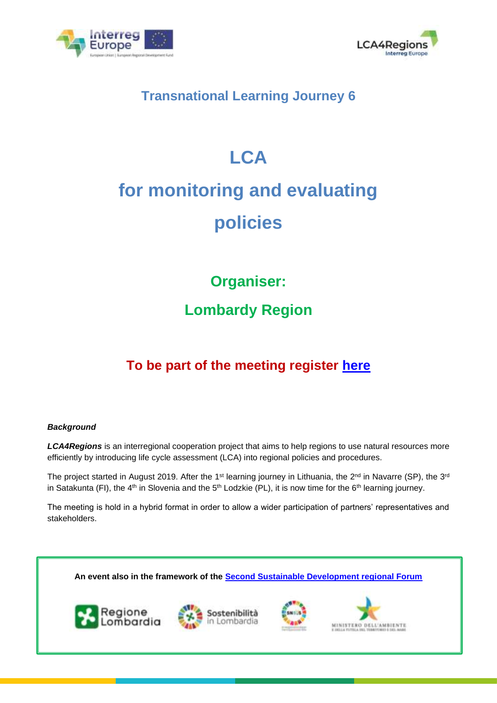



### **Transnational Learning Journey 6**

## **LCA**

# **for monitoring and evaluating policies**

**Organiser:**

## **Lombardy Region**

## **To be part of the meeting register [here](https://docs.google.com/forms/d/e/1FAIpQLSd0-vslZkCYPDiMgsEcGdIIrWUMUK8h927Pk2Nj8rJEtf6yXg/viewform)**

#### *Background*

*LCA4Regions* is an interregional cooperation project that aims to help regions to use natural resources more efficiently by introducing life cycle assessment (LCA) into regional policies and procedures.

The project started in August 2019. After the 1<sup>st</sup> learning journey in Lithuania, the 2<sup>nd</sup> in Navarre (SP), the 3<sup>rd</sup> in Satakunta (FI), the 4<sup>th</sup> in Slovenia and the 5<sup>th</sup> Lodzkie (PL), it is now time for the 6<sup>th</sup> learning journey.

The meeting is hold in a hybrid format in order to allow a wider participation of partners' representatives and stakeholders.

**An event also in the framework of the [Second Sustainable Development regional Forum](https://www.svilupposostenibile.regione.lombardia.it/it/forum-sviluppo-sostenibile/forum-2021)**







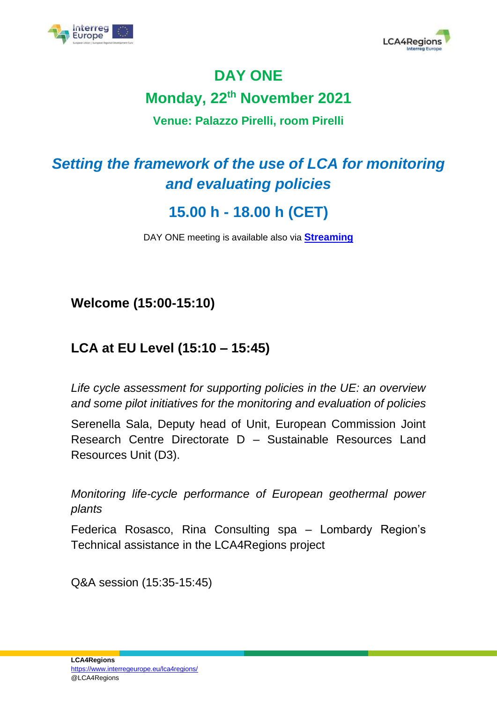



## **DAY ONE Monday, 22th November 2021 Venue: Palazzo Pirelli, room Pirelli**

## *Setting the framework of the use of LCA for monitoring and evaluating policies*

## **15.00 h - 18.00 h (CET)**

DAY ONE meeting is available also via **[Streaming](https://mediaportal.regione.lombardia.it/embed/live/13630)**

**Welcome (15:00-15:10)**

#### **LCA at EU Level (15:10 – 15:45)**

*Life cycle assessment for supporting policies in the UE: an overview and some pilot initiatives for the monitoring and evaluation of policies*

Serenella Sala, Deputy head of Unit, European Commission Joint Research Centre Directorate D – Sustainable Resources Land Resources Unit (D3).

*Monitoring life-cycle performance of European geothermal power plants*

Federica Rosasco, Rina Consulting spa – Lombardy Region's Technical assistance in the LCA4Regions project

Q&A session (15:35-15:45)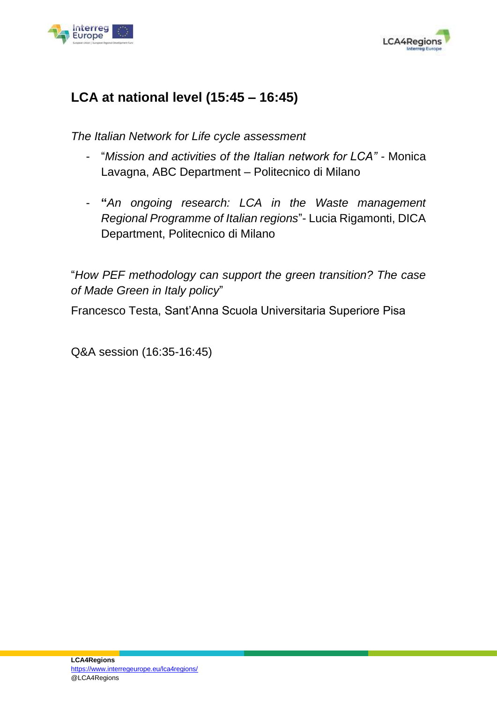



#### **LCA at national level (15:45 – 16:45)**

*The Italian Network for Life cycle assessment*

- "*Mission and activities of the Italian network for LCA" -* Monica Lavagna, ABC Department – Politecnico di Milano
- **"***An ongoing research: LCA in the Waste management Regional Programme of Italian regions*"- Lucia Rigamonti, DICA Department, Politecnico di Milano

"*How PEF methodology can support the green transition? The case of Made Green in Italy policy*"

Francesco Testa, Sant'Anna Scuola Universitaria Superiore Pisa

Q&A session (16:35-16:45)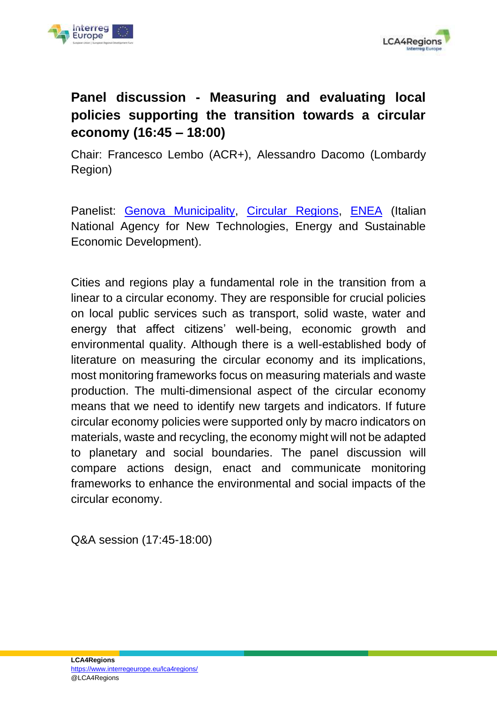



### **Panel discussion - Measuring and evaluating local policies supporting the transition towards a circular economy (16:45 – 18:00)**

Chair: Francesco Lembo (ACR+), Alessandro Dacomo (Lombardy Region)

Panelist: [Genova Municipality,](http://www.genovameravigliosa.com/en/genova-lighthouse-city) [Circular Regions,](https://circularregions.org/) [ENEA](https://www.enea.it/en) (Italian National Agency for New Technologies, Energy and Sustainable Economic Development).

Cities and regions play a fundamental role in the transition from a linear to a circular economy. They are responsible for crucial policies on local public services such as transport, solid waste, water and energy that affect citizens' well-being, economic growth and environmental quality. Although there is a well-established body of literature on measuring the circular economy and its implications, most monitoring frameworks focus on measuring materials and waste production. The multi-dimensional aspect of the circular economy means that we need to identify new targets and indicators. If future circular economy policies were supported only by macro indicators on materials, waste and recycling, the economy might will not be adapted to planetary and social boundaries. The panel discussion will compare actions design, enact and communicate monitoring frameworks to enhance the environmental and social impacts of the circular economy.

Q&A session (17:45-18:00)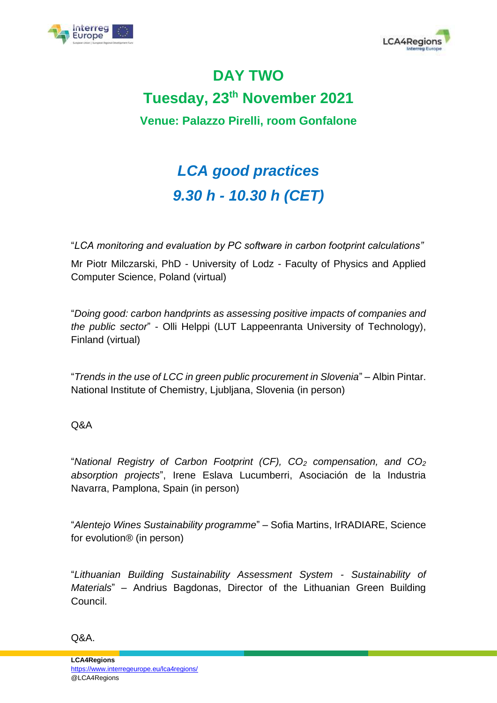



## **DAY TWO Tuesday, 23th November 2021 Venue: Palazzo Pirelli, room Gonfalone**

## *LCA good practices 9.30 h - 10.30 h (CET)*

"*LCA monitoring and evaluation by PC software in carbon footprint calculations"*

Mr Piotr Milczarski, PhD - University of Lodz - Faculty of Physics and Applied Computer Science, Poland (virtual)

"*Doing good: carbon handprints as assessing positive impacts of companies and the public sector*" - Olli Helppi (LUT Lappeenranta University of Technology), Finland (virtual)

"*Trends in the use of LCC in green public procurement in Slovenia*" – Albin Pintar. National Institute of Chemistry, Ljubljana, Slovenia (in person)

#### Q&A

"*National Registry of Carbon Footprint (CF), CO<sup>2</sup> compensation, and CO<sup>2</sup> absorption projects*", Irene Eslava Lucumberri, Asociación de la Industria Navarra, Pamplona, Spain (in person)

"*Alentejo Wines Sustainability programme*" – Sofia Martins, IrRADIARE, Science for evolution® (in person)

"*Lithuanian Building Sustainability Assessment System - Sustainability of Materials*" – Andrius Bagdonas, Director of the Lithuanian Green Building Council.

Q&A.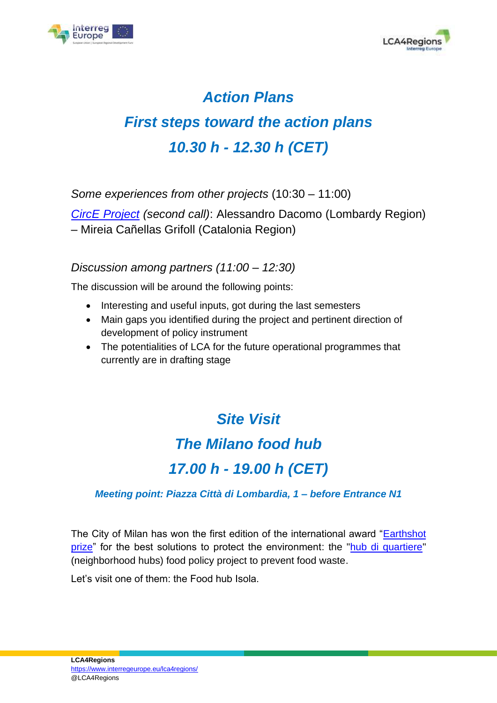



## *Action Plans First steps toward the action plans 10.30 h - 12.30 h (CET)*

*Some experiences from other projects* (10:30 – 11:00)

*[CircE Project](https://www.interregeurope.eu/circe) (second call)*: Alessandro Dacomo (Lombardy Region) – Mireia Cañellas Grifoll (Catalonia Region)

#### *Discussion among partners (11:00 – 12:30)*

The discussion will be around the following points:

- Interesting and useful inputs, got during the last semesters
- Main gaps you identified during the project and pertinent direction of development of policy instrument
- The potentialities of LCA for the future operational programmes that currently are in drafting stage

### *Site Visit*

### *The Milano food hub*

## *17.00 h - 19.00 h (CET)*

#### *Meeting point: Piazza Città di Lombardia, 1 – before Entrance N1*

The City of Milan has won the first edition of the international award ["Earthshot](https://earthshotprize.org/london-2021/the-earthshot-prize-winners-finalists/waste-free/)  [prize"](https://earthshotprize.org/london-2021/the-earthshot-prize-winners-finalists/waste-free/) for the best solutions to protect the environment: the ["hub di quartiere"](https://www.interregeurope.eu/circe/news/news-article/13265/the-milan-food-hubs-won-the-earthshot-prize/) (neighborhood hubs) food policy project to prevent food waste.

Let's visit one of them: the Food hub Isola.